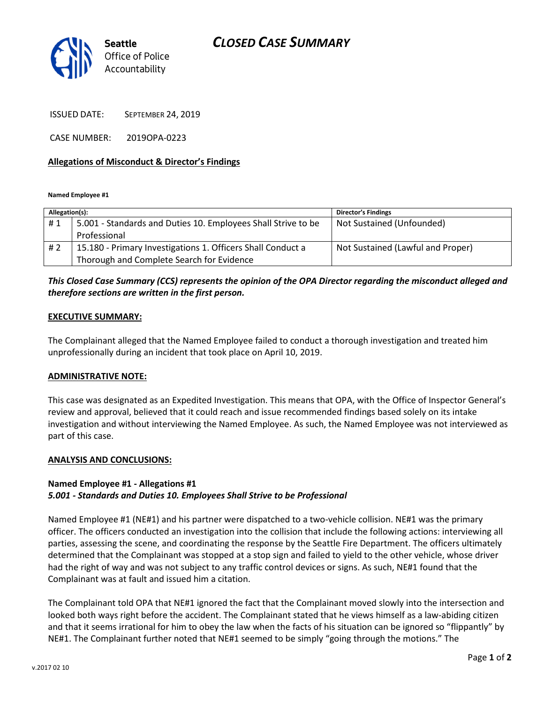# CLOSED CASE SUMMARY



ISSUED DATE: SEPTEMBER 24, 2019

CASE NUMBER: 2019OPA-0223

### Allegations of Misconduct & Director's Findings

Named Employee #1

| Allegation(s): |                                                               | <b>Director's Findings</b>        |
|----------------|---------------------------------------------------------------|-----------------------------------|
| #1             | 5.001 - Standards and Duties 10. Employees Shall Strive to be | Not Sustained (Unfounded)         |
|                | Professional                                                  |                                   |
| #2             | 15.180 - Primary Investigations 1. Officers Shall Conduct a   | Not Sustained (Lawful and Proper) |
|                | Thorough and Complete Search for Evidence                     |                                   |

## This Closed Case Summary (CCS) represents the opinion of the OPA Director regarding the misconduct alleged and therefore sections are written in the first person.

#### EXECUTIVE SUMMARY:

The Complainant alleged that the Named Employee failed to conduct a thorough investigation and treated him unprofessionally during an incident that took place on April 10, 2019.

### ADMINISTRATIVE NOTE:

This case was designated as an Expedited Investigation. This means that OPA, with the Office of Inspector General's review and approval, believed that it could reach and issue recommended findings based solely on its intake investigation and without interviewing the Named Employee. As such, the Named Employee was not interviewed as part of this case.

#### ANALYSIS AND CONCLUSIONS:

#### Named Employee #1 - Allegations #1 5.001 - Standards and Duties 10. Employees Shall Strive to be Professional

Named Employee #1 (NE#1) and his partner were dispatched to a two-vehicle collision. NE#1 was the primary officer. The officers conducted an investigation into the collision that include the following actions: interviewing all parties, assessing the scene, and coordinating the response by the Seattle Fire Department. The officers ultimately determined that the Complainant was stopped at a stop sign and failed to yield to the other vehicle, whose driver had the right of way and was not subject to any traffic control devices or signs. As such, NE#1 found that the Complainant was at fault and issued him a citation.

The Complainant told OPA that NE#1 ignored the fact that the Complainant moved slowly into the intersection and looked both ways right before the accident. The Complainant stated that he views himself as a law-abiding citizen and that it seems irrational for him to obey the law when the facts of his situation can be ignored so "flippantly" by NE#1. The Complainant further noted that NE#1 seemed to be simply "going through the motions." The